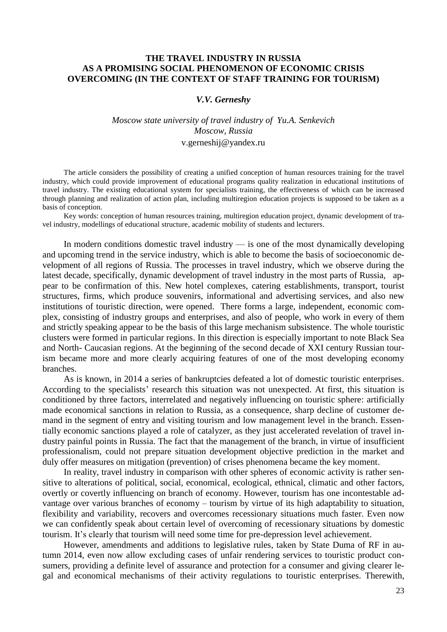## **THE TRAVEL INDUSTRY IN RUSSIA AS A PROMISING SOCIAL PHENOMENON OF ECONOMIC CRISIS OVERCOMING (IN THE CONTEXT OF STAFF TRAINING FOR TOURISM)**

#### *V.V. Gerneshy*

# *Moscow state university of travel industry of Yu.A. Senkevich Moscow, Russia*

### v.gerneshij@yandex.ru

The article considers the possibility of creating a unified conception of human resources training for the travel industry, which could provide improvement of educational programs quality realization in educational institutions of travel industry. The existing educational system for specialists training, the effectiveness of which can be increased through planning and realization of action plan, including multiregion education projects is supposed to be taken as a basis of conception.

Key words: conception of human resources training, multiregion education project, dynamic development of travel industry, modellings of educational structure, academic mobility of students and lecturers.

In modern conditions domestic travel industry  $\frac{1}{10}$  is one of the most dynamically developing and upcoming trend in the service industry, which is able to become the basis of socioeconomic development of all regions of Russia. The processes in travel industry, which we observe during the latest decade, specifically, dynamic development of travel industry in the most parts of Russia, appear to be confirmation of this. New hotel complexes, catering establishments, transport, tourist structures, firms, which produce souvenirs, informational and advertising services, and also new institutions of touristic direction, were opened. There forms a large, independent, economic complex, consisting of industry groups and enterprises, and also of people, who work in every of them and strictly speaking appear to be the basis of this large mechanism subsistence. The whole touristic clusters were formed in particular regions. In this direction is especially important to note Black Sea and North- Caucasian regions. At the beginning of the second decade of XXI century Russian tourism became more and more clearly acquiring features of one of the most developing economy branches.

As is known, in 2014 a series of bankruptcies defeated a lot of domestic touristic enterprises. According to the specialists' research this situation was not unexpected. At first, this situation is conditioned by three factors, interrelated and negatively influencing on touristic sphere: artificially made economical sanctions in relation to Russia, as a consequence, sharp decline of customer demand in the segment of entry and visiting tourism and low management level in the branch. Essentially economic sanctions played a role of catalyzer, as they just accelerated revelation of travel industry painful points in Russia. The fact that the management of the branch, in virtue of insufficient professionalism, could not prepare situation development objective prediction in the market and duly offer measures on mitigation (prevention) of crises phenomena became the key moment.

In reality, travel industry in comparison with other spheres of economic activity is rather sensitive to alterations of political, social, economical, ecological, ethnical, climatic and other factors, overtly or covertly influencing on branch of economy. However, tourism has one incontestable advantage over various branches of economy – tourism by virtue of its high adaptability to situation, flexibility and variability, recovers and overcomes recessionary situations much faster. Even now we can confidently speak about certain level of overcoming of recessionary situations by domestic tourism. It's clearly that tourism will need some time for pre-depression level achievement.

However, amendments and additions to legislative rules, taken by State Duma of RF in autumn 2014, even now allow excluding cases of unfair rendering services to touristic product consumers, providing a definite level of assurance and protection for a consumer and giving clearer legal and economical mechanisms of their activity regulations to touristic enterprises. Therewith,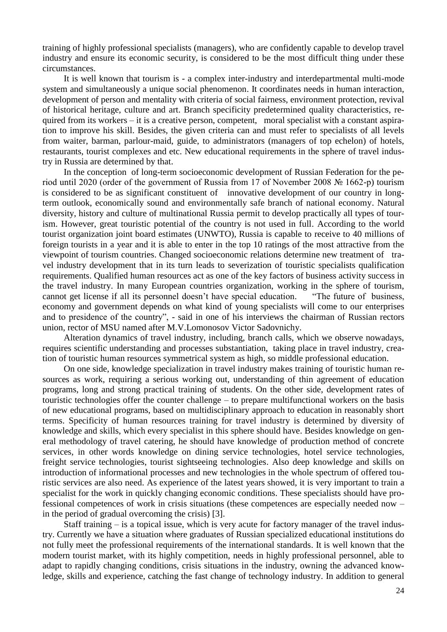training of highly professional specialists (managers), who are confidently capable to develop travel industry and ensure its economic security, is considered to be the most difficult thing under these circumstances.

It is well known that tourism is - a complex inter-industry and interdepartmental multi-mode system and simultaneously a unique social phenomenon. It coordinates needs in human interaction, development of person and mentality with criteria of social fairness, environment protection, revival of historical heritage, culture and art. Branch specificity predetermined quality characteristics, required from its workers – it is a creative person, competent, moral specialist with a constant aspiration to improve his skill. Besides, the given criteria can and must refer to specialists of all levels from waiter, barman, parlour-maid, guide, to administrators (managers of top echelon) of hotels, restaurants, tourist complexes and etc. New educational requirements in the sphere of travel industry in Russia are determined by that.

In the conception of long-term socioeconomic development of Russian Federation for the period until 2020 (order of the government of Russia from 17 of November 2008 № 1662-р) tourism is considered to be as significant constituent of innovative development of our country in longterm outlook, economically sound and environmentally safe branch of national economy. Natural diversity, history and culture of multinational Russia permit to develop practically all types of tourism. However, great touristic potential of the country is not used in full. According to the world tourist organization joint board estimates (UNWTO), Russia is capable to receive to 40 millions of foreign tourists in a year and it is able to enter in the top 10 ratings of the most attractive from the viewpoint of tourism countries. Changed socioeconomic relations determine new treatment of travel industry development that in its turn leads to severization of touristic specialists qualification requirements. Qualified human resources act as one of the key factors of business activity success in the travel industry. In many European countries organization, working in the sphere of tourism, cannot get license if all its personnel doesn't have special education. 
"The future of business, economy and government depends on what kind of young specialists will come to our enterprises and to presidence of the country", - said in one of his interviews the chairman of Russian rectors union, rector of MSU named after M.V.Lomonosov Victor Sadovnichy.

Alteration dynamics of travel industry, including, branch calls, which we observe nowadays, requires scientific understanding and processes substantiation, taking place in travel industry, creation of touristic human resources symmetrical system as high, so middle professional education.

On one side, knowledge specialization in travel industry makes training of touristic human resources as work, requiring a serious working out, understanding of thin agreement of education programs, long and strong practical training of students. On the other side, development rates of touristic technologies offer the counter challenge – to prepare multifunctional workers on the basis of new educational programs, based on multidisciplinary approach to education in reasonably short terms. Specificity of human resources training for travel industry is determined by diversity of knowledge and skills, which every specialist in this sphere should have. Besides knowledge on general methodology of travel catering, he should have knowledge of production method of concrete services, in other words knowledge on dining service technologies, hotel service technologies, freight service technologies, tourist sightseeing technologies. Also deep knowledge and skills on introduction of informational processes and new technologies in the whole spectrum of offered touristic services are also need. As experience of the latest years showed, it is very important to train a specialist for the work in quickly changing economic conditions. These specialists should have professional competences of work in crisis situations (these competences are especially needed now – in the period of gradual overcoming the crisis) [3].

Staff training – is a topical issue, which is very acute for factory manager of the travel industry. Currently we have a situation where graduates of Russian specialized educational institutions do not fully meet the professional requirements of the international standards. It is well known that the modern tourist market, with its highly competition, needs in highly professional personnel, able to adapt to rapidly changing conditions, crisis situations in the industry, owning the advanced knowledge, skills and experience, catching the fast change of technology industry. In addition to general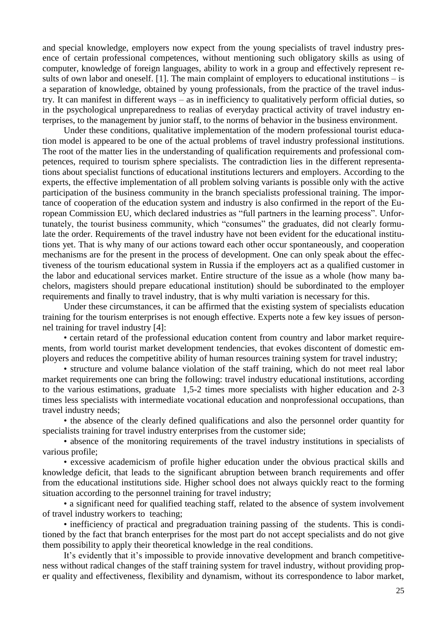and special knowledge, employers now expect from the young specialists of travel industry presence of certain professional competences, without mentioning such obligatory skills as using of computer, knowledge of foreign languages, ability to work in a group and effectively represent results of own labor and oneself. [1]. The main complaint of employers to educational institutions – is a separation of knowledge, obtained by young professionals, from the practice of the travel industry. It can manifest in different ways – as in inefficiency to qualitatively perform official duties, so in the psychological unpreparedness to realias of everyday practical activity of travel industry enterprises, to the management by junior staff, to the norms of behavior in the business environment.

Under these conditions, qualitative implementation of the modern professional tourist education model is appeared to be one of the actual problems of travel industry professional institutions. The root of the matter lies in the understanding of qualification requirements and professional competences, required to tourism sphere specialists. The contradiction lies in the different representations about specialist functions of educational institutions lecturers and employers. According to the experts, the effective implementation of all problem solving variants is possible only with the active participation of the business community in the branch specialists professional training. The importance of cooperation of the education system and industry is also confirmed in the report of the European Commission EU, which declared industries as "full partners in the learning process". Unfortunately, the tourist business community, which "consumes" the graduates, did not clearly formulate the order. Requirements of the travel industry have not been evident for the educational institutions yet. That is why many of our actions toward each other occur spontaneously, and cooperation mechanisms are for the present in the process of development. One can only speak about the effectiveness of the tourism educational system in Russia if the employers act as a qualified customer in the labor and educational services market. Entire structure of the issue as a whole (how many bachelors, magisters should prepare educational institution) should be subordinated to the employer requirements and finally to travel industry, that is why multi variation is necessary for this.

Under these circumstances, it can be affirmed that the existing system of specialists education training for the tourism enterprises is not enough effective. Experts note a few key issues of personnel training for travel industry [4]:

• certain retard of the professional education content from country and labor market requirements, from world tourist market development tendencies, that evokes discontent of domestic employers and reduces the competitive ability of human resources training system for travel industry;

• structure and volume balance violation of the staff training, which do not meet real labor market requirements one can bring the following: travel industry educational institutions, according to the various estimations, graduate 1,5-2 times more specialists with higher education and 2-3 times less specialists with intermediate vocational education and nonprofessional occupations, than travel industry needs;

• the absence of the clearly defined qualifications and also the personnel order quantity for specialists training for travel industry enterprises from the customer side;

• absence of the monitoring requirements of the travel industry institutions in specialists of various profile;

• excessive academicism of profile higher education under the obvious practical skills and knowledge deficit, that leads to the significant abruption between branch requirements and offer from the educational institutions side. Higher school does not always quickly react to the forming situation according to the personnel training for travel industry;

• a significant need for qualified teaching staff, related to the absence of system involvement of travel industry workers to teaching;

• inefficiency of practical and pregraduation training passing of the students. This is conditioned by the fact that branch enterprises for the most part do not accept specialists and do not give them possibility to apply their theoretical knowledge in the real conditions.

It's evidently that it's impossible to provide innovative development and branch competitiveness without radical changes of the staff training system for travel industry, without providing proper quality and effectiveness, flexibility and dynamism, without its correspondence to labor market,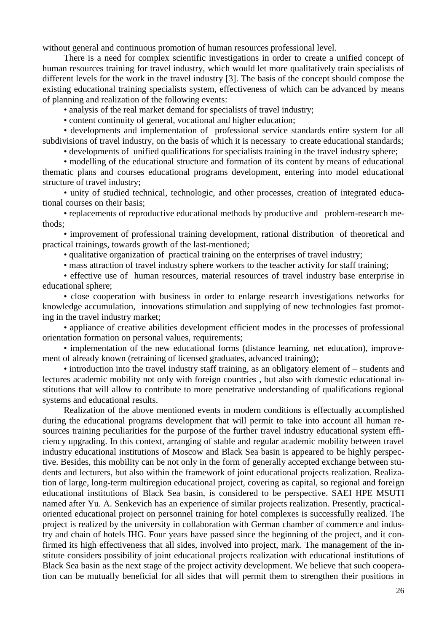without general and continuous promotion of human resources professional level.

There is a need for complex scientific investigations in order to create a unified concept of human resources training for travel industry, which would let more qualitatively train specialists of different levels for the work in the travel industry [3]. The basis of the concept should compose the existing educational training specialists system, effectiveness of which can be advanced by means of planning and realization of the following events:

• analysis of the real market demand for specialists of travel industry;

• content continuity of general, vocational and higher education;

• developments and implementation of professional service standards entire system for all subdivisions of travel industry, on the basis of which it is necessary to create educational standards;

• developments of unified qualifications for specialists training in the travel industry sphere;

• modelling of the educational structure and formation of its content by means of educational thematic plans and courses educational programs development, entering into model educational structure of travel industry;

• unity of studied technical, technologic, and other processes, creation of integrated educational courses on their basis;

• replacements of reproductive educational methods by productive and problem-research methods;

• improvement of professional training development, rational distribution of theoretical and practical trainings, towards growth of the last-mentioned;

• qualitative organization of practical training on the enterprises of travel industry;

• mass attraction of travel industry sphere workers to the teacher activity for staff training;

• effective use of human resources, material resources of travel industry base enterprise in educational sphere;

• close cooperation with business in order to enlarge research investigations networks for knowledge accumulation, innovations stimulation and supplying of new technologies fast promoting in the travel industry market;

• appliance of creative abilities development efficient modes in the processes of professional orientation formation on personal values, requirements;

• implementation of the new educational forms (distance learning, net education), improvement of already known (retraining of licensed graduates, advanced training);

• introduction into the travel industry staff training, as an obligatory element of – students and lectures academic mobility not only with foreign countries , but also with domestic educational institutions that will allow to contribute to more penetrative understanding of qualifications regional systems and educational results.

Realization of the above mentioned events in modern conditions is effectually accomplished during the educational programs development that will permit to take into account all human resources training peculiarities for the purpose of the further travel industry educational system efficiency upgrading. In this context, arranging of stable and regular academic mobility between travel industry educational institutions of Moscow and Black Sea basin is appeared to be highly perspective. Besides, this mobility can be not only in the form of generally accepted exchange between students and lecturers, but also within the framework of joint educational projects realization. Realization of large, long-term multiregion educational project, covering as capital, so regional and foreign educational institutions of Black Sea basin, is considered to be perspective. SAEI HPE MSUTI named after Yu. A. Senkevich has an experience of similar projects realization. Presently, practicaloriented educational project on personnel training for hotel complexes is successfully realized. The project is realized by the university in collaboration with German chamber of commerce and industry and chain of hotels IHG. Four years have passed since the beginning of the project, and it confirmed its high effectiveness that all sides, involved into project, mark. The management of the institute considers possibility of joint educational projects realization with educational institutions of Black Sea basin as the next stage of the project activity development. We believe that such cooperation can be mutually beneficial for all sides that will permit them to strengthen their positions in